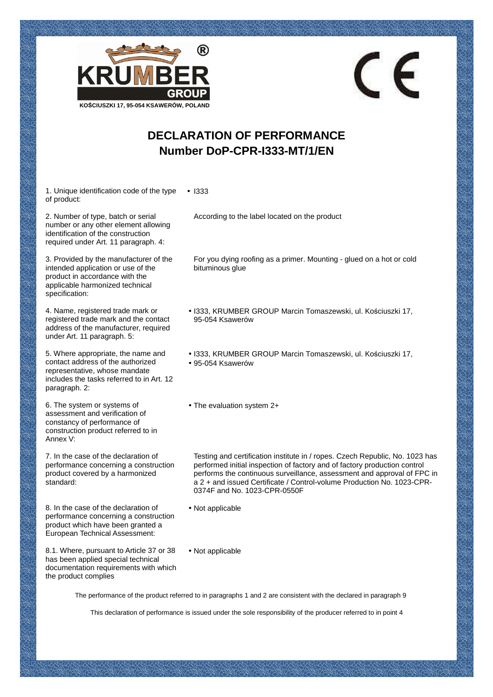

## **DECLARATION OF PERFORMANCE Number DoP-CPR-I333-MT/1/EN**

1. Unique identification code of the type of product: • I333

2. Number of type, batch or serial number or any other element allowing identification of the construction required under Art. 11 paragraph. 4:

3. Provided by the manufacturer of the intended application or use of the product in accordance with the applicable harmonized technical specification:

4. Name, registered trade mark or registered trade mark and the contact address of the manufacturer, required under Art. 11 paragraph. 5:

5. Where appropriate, the name and contact address of the authorized representative, whose mandate includes the tasks referred to in Art. 12 paragraph. 2:

6. The system or systems of assessment and verification of constancy of performance of construction product referred to in Annex V:

7. In the case of the declaration of performance concerning a construction product covered by a harmonized standard:

8. In the case of the declaration of performance concerning a construction product which have been granted a European Technical Assessment:

8.1. Where, pursuant to Article 37 or 38 has been applied special technical documentation requirements with which the product complies

According to the label located on the product

For you dying roofing as a primer. Mounting - glued on a hot or cold bituminous glue

 $\epsilon$ 

- I333, KRUMBER GROUP Marcin Tomaszewski, ul. Kościuszki 17, 95-054 Ksawerów
- I333, KRUMBER GROUP Marcin Tomaszewski, ul. Kościuszki 17,
- 95-054 Ksawerów
- The evaluation system 2+

Testing and certification institute in / ropes. Czech Republic, No. 1023 has performed initial inspection of factory and of factory production control performs the continuous surveillance, assessment and approval of FPC in a 2 + and issued Certificate / Control-volume Production No. 1023-CPR-0374F and No. 1023-CPR-0550F

- Not applicable
- Not applicable

The performance of the product referred to in paragraphs 1 and 2 are consistent with the declared in paragraph 9

This declaration of performance is issued under the sole responsibility of the producer referred to in point 4